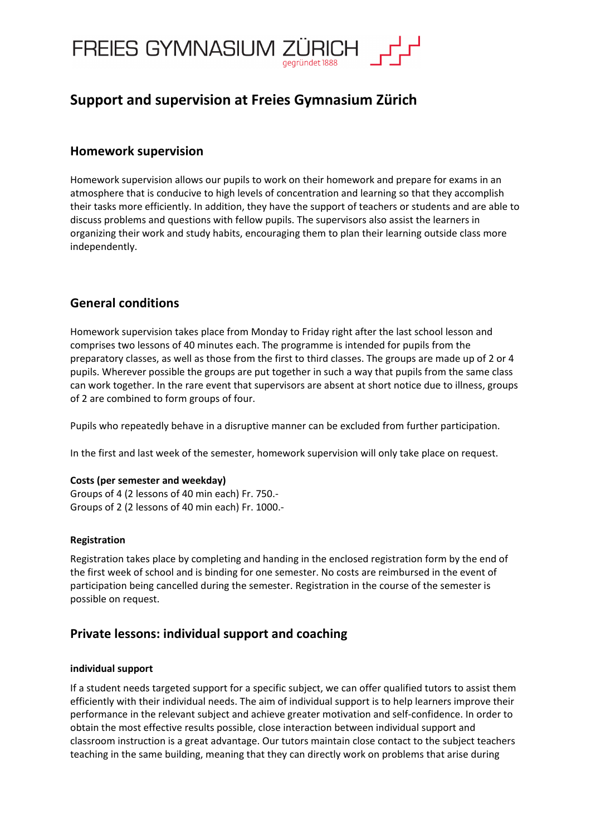

## **Support and supervision at Freies Gymnasium Zürich**

## **Homework supervision**

Homework supervision allows our pupils to work on their homework and prepare for exams in an atmosphere that is conducive to high levels of concentration and learning so that they accomplish their tasks more efficiently. In addition, they have the support of teachers or students and are able to discuss problems and questions with fellow pupils. The supervisors also assist the learners in organizing their work and study habits, encouraging them to plan their learning outside class more independently.

## **General conditions**

Homework supervision takes place from Monday to Friday right after the last school lesson and comprises two lessons of 40 minutes each. The programme is intended for pupils from the preparatory classes, as well as those from the first to third classes. The groups are made up of 2 or 4 pupils. Wherever possible the groups are put together in such a way that pupils from the same class can work together. In the rare event that supervisors are absent at short notice due to illness, groups of 2 are combined to form groups of four.

Pupils who repeatedly behave in a disruptive manner can be excluded from further participation.

In the first and last week of the semester, homework supervision will only take place on request.

#### **Costs (per semester and weekday)**

Groups of 4 (2 lessons of 40 min each) Fr. 750.- Groups of 2 (2 lessons of 40 min each) Fr. 1000.-

#### **Registration**

Registration takes place by completing and handing in the enclosed registration form by the end of the first week of school and is binding for one semester. No costs are reimbursed in the event of participation being cancelled during the semester. Registration in the course of the semester is possible on request.

### **Private lessons: individual support and coaching**

#### **individual support**

If a student needs targeted support for a specific subject, we can offer qualified tutors to assist them efficiently with their individual needs. The aim of individual support is to help learners improve their performance in the relevant subject and achieve greater motivation and self-confidence. In order to obtain the most effective results possible, close interaction between individual support and classroom instruction is a great advantage. Our tutors maintain close contact to the subject teachers teaching in the same building, meaning that they can directly work on problems that arise during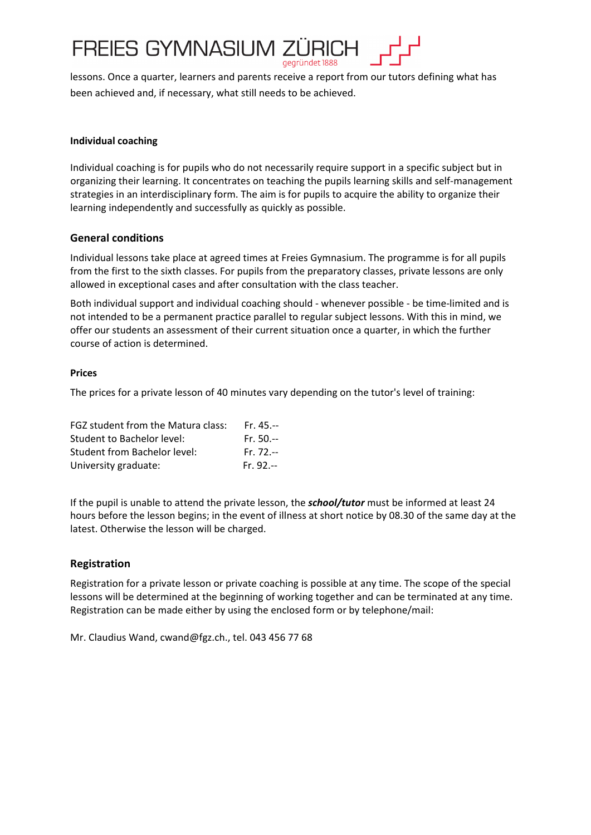

lessons. Once a quarter, learners and parents receive a report from our tutors defining what has been achieved and, if necessary, what still needs to be achieved.

#### **Individual coaching**

Individual coaching is for pupils who do not necessarily require support in a specific subject but in organizing their learning. It concentrates on teaching the pupils learning skills and self-management strategies in an interdisciplinary form. The aim is for pupils to acquire the ability to organize their learning independently and successfully as quickly as possible.

#### **General conditions**

Individual lessons take place at agreed times at Freies Gymnasium. The programme is for all pupils from the first to the sixth classes. For pupils from the preparatory classes, private lessons are only allowed in exceptional cases and after consultation with the class teacher.

Both individual support and individual coaching should - whenever possible - be time-limited and is not intended to be a permanent practice parallel to regular subject lessons. With this in mind, we offer our students an assessment of their current situation once a quarter, in which the further course of action is determined.

#### **Prices**

The prices for a private lesson of 40 minutes vary depending on the tutor's level of training:

| FGZ student from the Matura class: | $Fr. 45 -$  |
|------------------------------------|-------------|
| Student to Bachelor level:         | $Fr. 50--$  |
| Student from Bachelor level:       | $Fr. 72 -$  |
| University graduate:               | $Fr. 92. -$ |

If the pupil is unable to attend the private lesson, the *school/tutor* must be informed at least 24 hours before the lesson begins; in the event of illness at short notice by 08.30 of the same day at the latest. Otherwise the lesson will be charged.

#### **Registration**

Registration for a private lesson or private coaching is possible at any time. The scope of the special lessons will be determined at the beginning of working together and can be terminated at any time. Registration can be made either by using the enclosed form or by telephone/mail:

Mr. Claudius Wand, cwand@fgz.ch., tel. 043 456 77 68